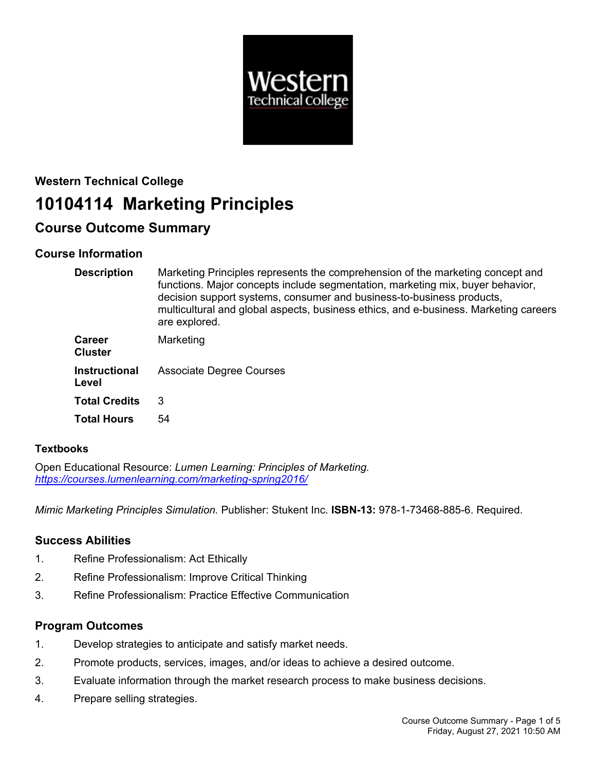

# **Western Technical College 10104114 Marketing Principles**

# **Course Outcome Summary**

# **Course Information**

| <b>Description</b>              | Marketing Principles represents the comprehension of the marketing concept and<br>functions. Major concepts include segmentation, marketing mix, buyer behavior,<br>decision support systems, consumer and business-to-business products,<br>multicultural and global aspects, business ethics, and e-business. Marketing careers<br>are explored. |
|---------------------------------|----------------------------------------------------------------------------------------------------------------------------------------------------------------------------------------------------------------------------------------------------------------------------------------------------------------------------------------------------|
| <b>Career</b><br><b>Cluster</b> | Marketing                                                                                                                                                                                                                                                                                                                                          |
| <b>Instructional</b><br>Level   | Associate Degree Courses                                                                                                                                                                                                                                                                                                                           |
| <b>Total Credits</b>            | 3                                                                                                                                                                                                                                                                                                                                                  |
| <b>Total Hours</b>              | 54                                                                                                                                                                                                                                                                                                                                                 |

# **Textbooks**

Open Educational Resource: *Lumen Learning: Principles of Marketing. <https://courses.lumenlearning.com/marketing-spring2016/>*

*Mimic Marketing Principles Simulation.* Publisher: Stukent Inc. **ISBN-13:** 978-1-73468-885-6. Required.

# **Success Abilities**

- 1. Refine Professionalism: Act Ethically
- 2. Refine Professionalism: Improve Critical Thinking
- 3. Refine Professionalism: Practice Effective Communication

# **Program Outcomes**

- 1. Develop strategies to anticipate and satisfy market needs.
- 2. Promote products, services, images, and/or ideas to achieve a desired outcome.
- 3. Evaluate information through the market research process to make business decisions.
- 4. Prepare selling strategies.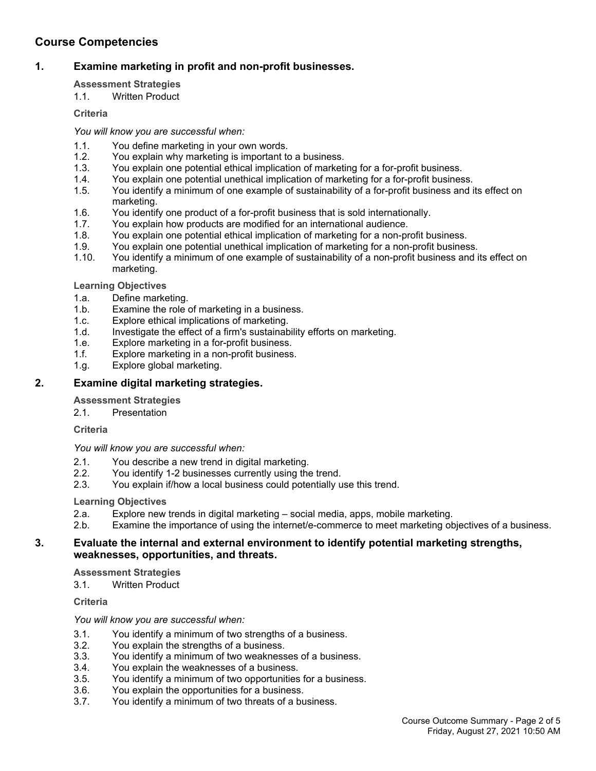# **Course Competencies**

# **1. Examine marketing in profit and non-profit businesses.**

## **Assessment Strategies**

1.1. Written Product

### **Criteria**

*You will know you are successful when:*

- 1.1. You define marketing in your own words.
- 1.2. You explain why marketing is important to a business.
- 1.3. You explain one potential ethical implication of marketing for a for-profit business.<br>1.4. You explain one potential unethical implication of marketing for a for-profit busines
- 1.4. You explain one potential unethical implication of marketing for a for-profit business.<br>1.5. You identify a minimum of one example of sustainability of a for-profit business and i
- You identify a minimum of one example of sustainability of a for-profit business and its effect on marketing.
- 1.6. You identify one product of a for-profit business that is sold internationally.
- 1.7. You explain how products are modified for an international audience.<br>1.8. You explain one potential ethical implication of marketing for a non-pro
- You explain one potential ethical implication of marketing for a non-profit business.
- 1.9. You explain one potential unethical implication of marketing for a non-profit business.
- 1.10. You identify a minimum of one example of sustainability of a non-profit business and its effect on marketing.

### **Learning Objectives**

- 1.a. Define marketing.
- 1.b. Examine the role of marketing in a business.
- 1.c. Explore ethical implications of marketing.
- 1.d. Investigate the effect of a firm's sustainability efforts on marketing.
- 1.e. Explore marketing in a for-profit business.
- 1.f. Explore marketing in a non-profit business.
- 1.g. Explore global marketing.

# **2. Examine digital marketing strategies.**

# **Assessment Strategies**

2.1. Presentation

# **Criteria**

### *You will know you are successful when:*

- 2.1. You describe a new trend in digital marketing.
- 2.2. You identify 1-2 businesses currently using the trend.
- 2.3. You explain if/how a local business could potentially use this trend.

### **Learning Objectives**

- 2.a. Explore new trends in digital marketing social media, apps, mobile marketing.
- 2.b. Examine the importance of using the internet/e-commerce to meet marketing objectives of a business.

### **3. Evaluate the internal and external environment to identify potential marketing strengths, weaknesses, opportunities, and threats.**

### **Assessment Strategies**

3.1. Written Product

**Criteria**

### *You will know you are successful when:*

- 3.1. You identify a minimum of two strengths of a business.
- 3.2. You explain the strengths of a business.
- 3.3. You identify a minimum of two weaknesses of a business.
- 3.4. You explain the weaknesses of a business.
- 3.5. You identify a minimum of two opportunities for a business.
- 3.6. You explain the opportunities for a business.
- 3.7. You identify a minimum of two threats of a business.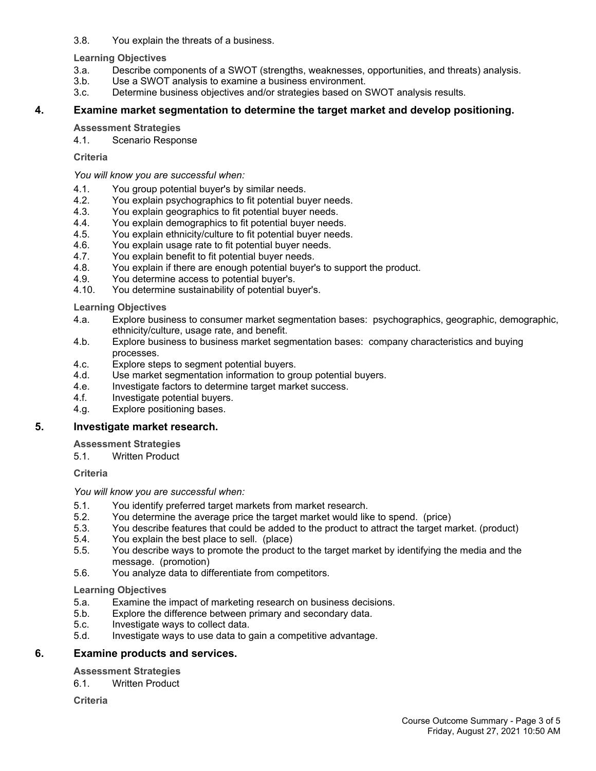3.8. You explain the threats of a business.

#### **Learning Objectives**

- 3.a. Describe components of a SWOT (strengths, weaknesses, opportunities, and threats) analysis.
- 3.b. Use a SWOT analysis to examine a business environment.
- 3.c. Determine business objectives and/or strategies based on SWOT analysis results.

## **4. Examine market segmentation to determine the target market and develop positioning.**

## **Assessment Strategies**

4.1. Scenario Response

## **Criteria**

*You will know you are successful when:*

- 4.1. You group potential buyer's by similar needs.
- 4.2. You explain psychographics to fit potential buyer needs.
- 4.3. You explain geographics to fit potential buyer needs.
- 4.4. You explain demographics to fit potential buyer needs.
- 4.5. You explain ethnicity/culture to fit potential buyer needs.
- 4.6. You explain usage rate to fit potential buyer needs.<br>4.7. You explain benefit to fit potential buyer needs.
- You explain benefit to fit potential buyer needs.
- 4.8. You explain if there are enough potential buyer's to support the product.
- 4.9. You determine access to potential buyer's.
- 4.10. You determine sustainability of potential buyer's.

## **Learning Objectives**

- 4.a. Explore business to consumer market segmentation bases: psychographics, geographic, demographic, ethnicity/culture, usage rate, and benefit.
- 4.b. Explore business to business market segmentation bases: company characteristics and buying processes.
- 4.c. Explore steps to segment potential buyers.
- 4.d. Use market segmentation information to group potential buyers.
- 4.e. Investigate factors to determine target market success.
- 4.f. Investigate potential buyers.
- 4.g. Explore positioning bases.

# **5. Investigate market research.**

### **Assessment Strategies**

5.1. Written Product

### **Criteria**

### *You will know you are successful when:*

- 5.1. You identify preferred target markets from market research.
- 5.2. You determine the average price the target market would like to spend. (price)
- 5.3. You describe features that could be added to the product to attract the target market. (product)
- 5.4. You explain the best place to sell. (place)
- 5.5. You describe ways to promote the product to the target market by identifying the media and the message. (promotion)
- 5.6. You analyze data to differentiate from competitors.

# **Learning Objectives**

- 5.a. Examine the impact of marketing research on business decisions.
- 5.b. Explore the difference between primary and secondary data.
- 5.c. Investigate ways to collect data.
- 5.d. Investigate ways to use data to gain a competitive advantage.

# **6. Examine products and services.**

# **Assessment Strategies**

6.1. Written Product

**Criteria**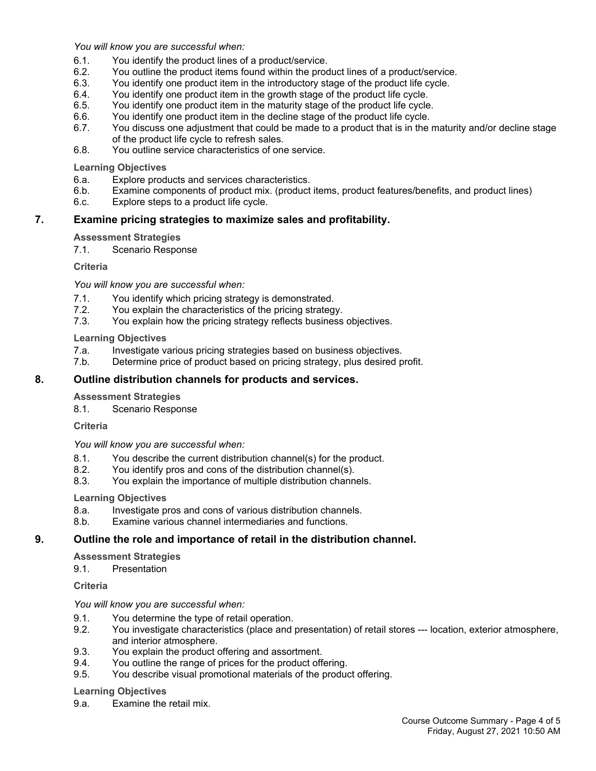*You will know you are successful when:*

- 6.1. You identify the product lines of a product/service.
- 6.2. You outline the product items found within the product lines of a product/service.
- 6.3. You identify one product item in the introductory stage of the product life cycle.
- 6.4. You identify one product item in the growth stage of the product life cycle.
- 6.5. You identify one product item in the maturity stage of the product life cycle.
- 6.6. You identify one product item in the decline stage of the product life cycle.
- 6.7. You discuss one adjustment that could be made to a product that is in the maturity and/or decline stage of the product life cycle to refresh sales.
- 6.8. You outline service characteristics of one service.

**Learning Objectives**

- 6.a. Explore products and services characteristics.
- 6.b. Examine components of product mix. (product items, product features/benefits, and product lines)
- 6.c. Explore steps to a product life cycle.

#### **7. Examine pricing strategies to maximize sales and profitability.**

#### **Assessment Strategies**

7.1. Scenario Response

**Criteria**

*You will know you are successful when:*

- 7.1. You identify which pricing strategy is demonstrated.
- 7.2. You explain the characteristics of the pricing strategy.
- 7.3. You explain how the pricing strategy reflects business objectives.

#### **Learning Objectives**

- 7.a. Investigate various pricing strategies based on business objectives.
- 7.b. Determine price of product based on pricing strategy, plus desired profit.

#### **8. Outline distribution channels for products and services.**

#### **Assessment Strategies**

8.1. Scenario Response

**Criteria**

*You will know you are successful when:*

- 8.1. You describe the current distribution channel(s) for the product.
- 8.2. You identify pros and cons of the distribution channel(s).
- 8.3. You explain the importance of multiple distribution channels.

**Learning Objectives**

- 8.a. Investigate pros and cons of various distribution channels.
- 8.b. Examine various channel intermediaries and functions.

### **9. Outline the role and importance of retail in the distribution channel.**

**Assessment Strategies**

9.1. Presentation

**Criteria**

*You will know you are successful when:*

- 9.1. You determine the type of retail operation.
- 9.2. You investigate characteristics (place and presentation) of retail stores --- location, exterior atmosphere, and interior atmosphere.
- 9.3. You explain the product offering and assortment.
- 9.4. You outline the range of prices for the product offering.
- 9.5. You describe visual promotional materials of the product offering.

#### **Learning Objectives**

9.a. Examine the retail mix.